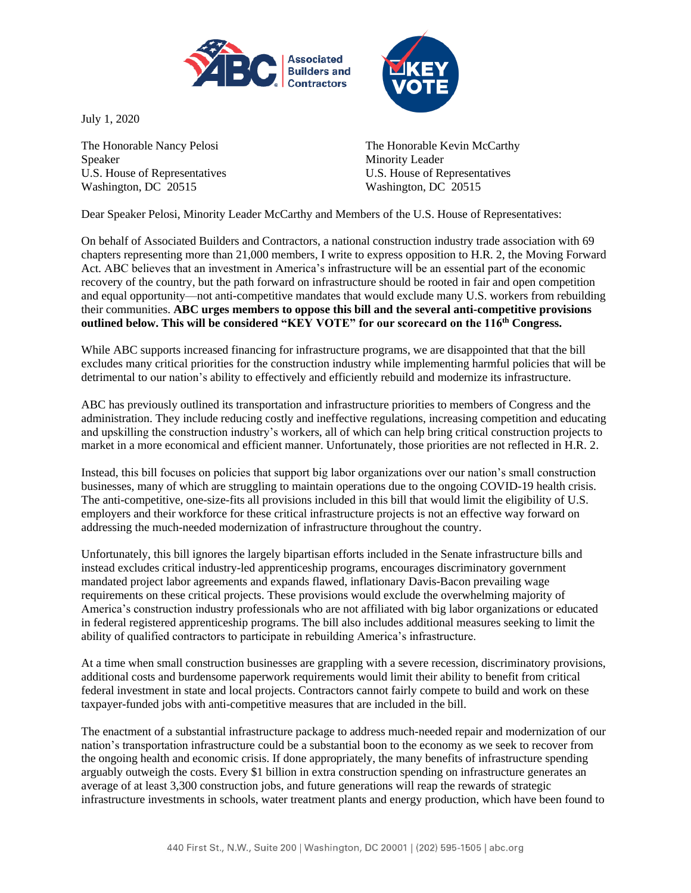

July 1, 2020

Speaker Minority Leader U.S. House of Representatives U.S. House of Representatives Washington, DC 20515 Washington, DC 20515



The Honorable Nancy Pelosi **The Honorable Kevin McCarthy** 

Dear Speaker Pelosi, Minority Leader McCarthy and Members of the U.S. House of Representatives:

On behalf of Associated Builders and Contractors, a national construction industry trade association with 69 chapters representing more than 21,000 members, I write to express opposition to H.R. 2, the Moving Forward Act. ABC believes that an investment in America's infrastructure will be an essential part of the economic recovery of the country, but the path forward on infrastructure should be rooted in fair and open competition and equal opportunity—not anti-competitive mandates that would exclude many U.S. workers from rebuilding their communities. **ABC urges members to oppose this bill and the several anti-competitive provisions outlined below. This will be considered "KEY VOTE" for our scorecard on the 116th Congress.**

While ABC supports increased financing for infrastructure programs, we are disappointed that that the bill excludes many critical priorities for the construction industry while implementing harmful policies that will be detrimental to our nation's ability to effectively and efficiently rebuild and modernize its infrastructure.

ABC has previously outlined its transportation and infrastructure priorities to members of Congress and the administration. They include reducing costly and ineffective regulations, increasing competition and educating and upskilling the construction industry's workers, all of which can help bring critical construction projects to market in a more economical and efficient manner. Unfortunately, those priorities are not reflected in H.R. 2.

Instead, this bill focuses on policies that support big labor organizations over our nation's small construction businesses, many of which are struggling to maintain operations due to the ongoing COVID-19 health crisis. The anti-competitive, one-size-fits all provisions included in this bill that would limit the eligibility of U.S. employers and their workforce for these critical infrastructure projects is not an effective way forward on addressing the much-needed modernization of infrastructure throughout the country.

Unfortunately, this bill ignores the largely bipartisan efforts included in the Senate infrastructure bills and instead excludes critical industry-led apprenticeship programs, encourages discriminatory government mandated project labor agreements and expands flawed, inflationary Davis-Bacon prevailing wage requirements on these critical projects. These provisions would exclude the overwhelming majority of America's construction industry professionals who are not affiliated with big labor organizations or educated in federal registered apprenticeship programs. The bill also includes additional measures seeking to limit the ability of qualified contractors to participate in rebuilding America's infrastructure.

At a time when small construction businesses are grappling with a severe recession, discriminatory provisions, additional costs and burdensome paperwork requirements would limit their ability to benefit from critical federal investment in state and local projects. Contractors cannot fairly compete to build and work on these taxpayer-funded jobs with anti-competitive measures that are included in the bill.

The enactment of a substantial infrastructure package to address much-needed repair and modernization of our nation's transportation infrastructure could be a substantial boon to the economy as we seek to recover from the ongoing health and economic crisis. If done appropriately, the many benefits of infrastructure spending arguably outweigh the costs. Every \$1 billion in extra construction spending on infrastructure generates an average of at least 3,300 construction jobs, and future generations will reap the rewards of strategic infrastructure investments in schools, water treatment plants and energy production, which have been found to